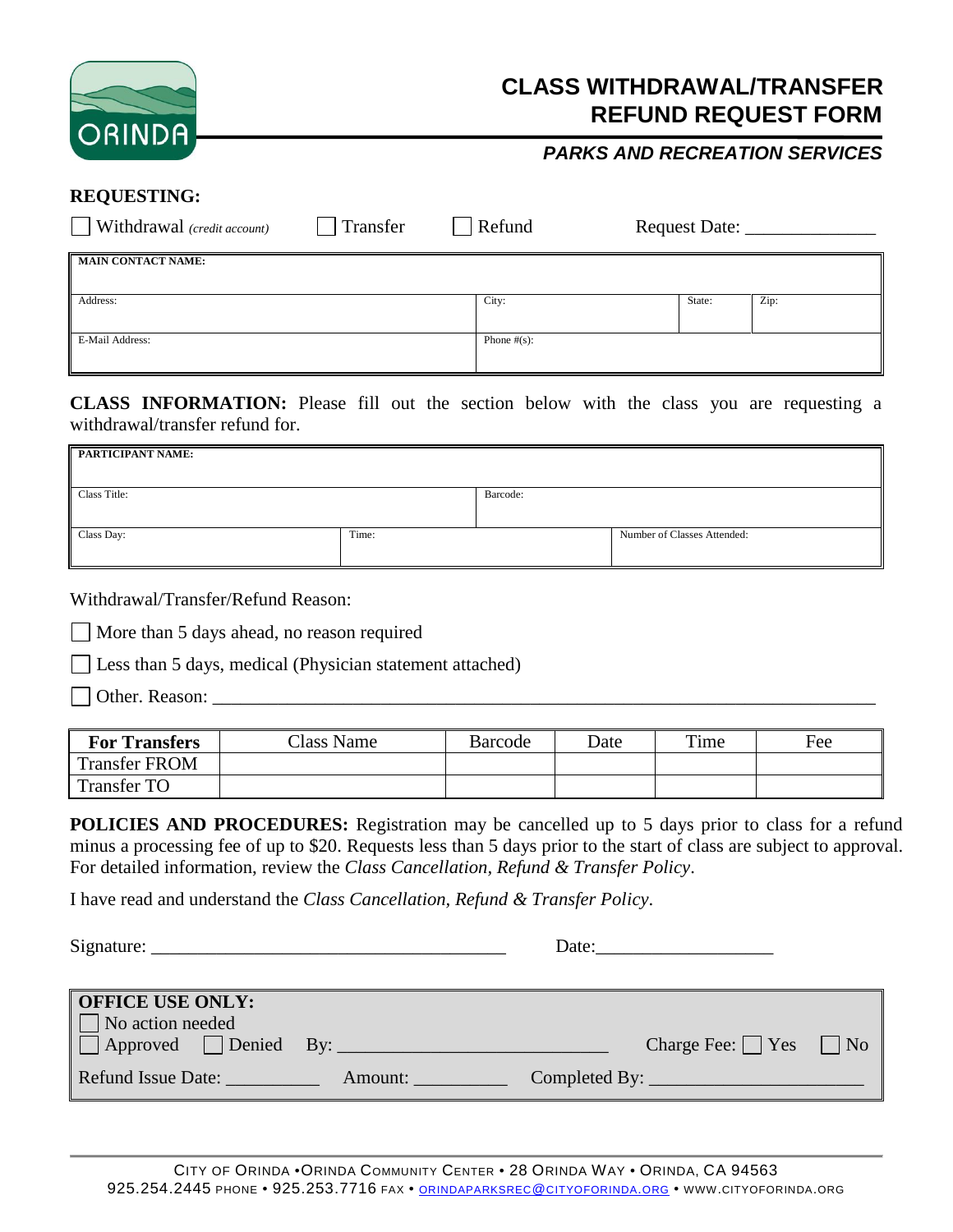

## **REFUND REQUEST FORM CLASS WITHDRAWAL/TRANSFER**

#### *PARKS AND RECREATION SERVICES*

#### **REQUESTING:**

| $\blacksquare$ Withdrawal (credit account) | Transfer | Refund          | Request Date: _____ |      |
|--------------------------------------------|----------|-----------------|---------------------|------|
| <b>MAIN CONTACT NAME:</b>                  |          |                 |                     |      |
| Address:                                   |          | City:           | State:              | Zip: |
| E-Mail Address:                            |          | Phone $\#(s)$ : |                     |      |

**CLASS INFORMATION:** Please fill out the section below with the class you are requesting a withdrawal/transfer refund for.

| PARTICIPANT NAME: |       |          |                             |
|-------------------|-------|----------|-----------------------------|
| Class Title:      |       | Barcode: |                             |
| Class Day:        | Time: |          | Number of Classes Attended: |

Withdrawal/Transfer/Refund Reason:

More than 5 days ahead, no reason required

Less than 5 days, medical (Physician statement attached)

Other. Reason: \_\_\_\_\_\_\_\_\_\_\_\_\_\_\_\_\_\_\_\_\_\_\_\_\_\_\_\_\_\_\_\_\_\_\_\_\_\_\_\_\_\_\_\_\_\_\_\_\_\_\_\_\_\_\_\_\_\_\_\_\_\_\_\_\_\_\_\_\_\_\_

| <b>For Transfers</b> | Class Name | Barcode | Date | Time | Fee |
|----------------------|------------|---------|------|------|-----|
| <b>Transfer FROM</b> |            |         |      |      |     |
| <b>Transfer TO</b>   |            |         |      |      |     |

**POLICIES AND PROCEDURES:** Registration may be cancelled up to 5 days prior to class for a refund minus a processing fee of up to \$20. Requests less than 5 days prior to the start of class are subject to approval. For detailed information, review the *Class Cancellation, Refund & Transfer Policy*.

I have read and understand the *Class Cancellation, Refund & Transfer Policy*.

 $Signature:$  Date:

| <b>OFFICE USE ONLY:</b><br>$\Box$ No action needed<br>$\Box$ Approved $\Box$ Denied By: |         | Charge Fee: $ $   Yes     No |  |
|-----------------------------------------------------------------------------------------|---------|------------------------------|--|
| Refund Issue Date:                                                                      | Amount: |                              |  |